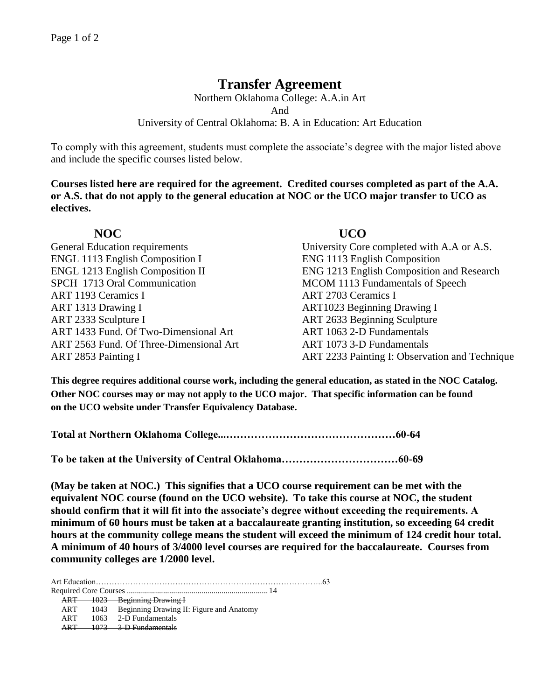## **Transfer Agreement**

Northern Oklahoma College: A.A.in Art And University of Central Oklahoma: B. A in Education: Art Education

To comply with this agreement, students must complete the associate's degree with the major listed above and include the specific courses listed below.

**Courses listed here are required for the agreement. Credited courses completed as part of the A.A. or A.S. that do not apply to the general education at NOC or the UCO major transfer to UCO as electives.**

ENGL 1113 English Composition I ENG 1113 English Composition SPCH 1713 Oral Communication MCOM 1113 Fundamentals of Speech ART 1193 Ceramics I ART 2703 Ceramics I ART 1313 Drawing I ART1023 Beginning Drawing I ART 2333 Sculpture I ART 2633 Beginning Sculpture ART 1433 Fund. Of Two-Dimensional Art ART 1063 2-D Fundamentals ART 2563 Fund. Of Three-Dimensional Art ART 1073 3-D Fundamentals

## **NOC UCO**

General Education requirements University Core completed with A.A or A.S. ENGL 1213 English Composition II ENG 1213 English Composition and Research ART 2853 Painting I ART 2233 Painting I: Observation and Technique

**This degree requires additional course work, including the general education, as stated in the NOC Catalog. Other NOC courses may or may not apply to the UCO major. That specific information can be found on the UCO website under Transfer Equivalency Database.**

**Total at Northern Oklahoma College...…………………………………………60-64**

**To be taken at the University of Central Oklahoma……………………………60-69**

**(May be taken at NOC.) This signifies that a UCO course requirement can be met with the equivalent NOC course (found on the UCO website). To take this course at NOC, the student should confirm that it will fit into the associate's degree without exceeding the requirements. A minimum of 60 hours must be taken at a baccalaureate granting institution, so exceeding 64 credit hours at the community college means the student will exceed the minimum of 124 credit hour total. A minimum of 40 hours of 3/4000 level courses are required for the baccalaureate. Courses from community colleges are 1/2000 level.**

Art Education…………………………………………………………………………..63 Required Core Courses ...................................................................... 14 ART 1023 Beginning Drawing I ART 1043 Beginning Drawing II: Figure and Anatomy ART 1063 2-D Fundamentals ART 1073 3-D Fundamentals